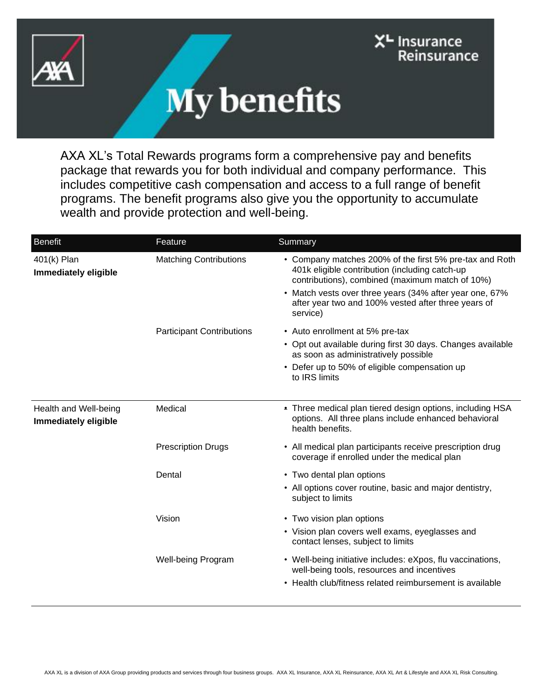



AXA XL's Total Rewards programs form a comprehensive pay and benefits package that rewards you for both individual and company performance. This includes competitive cash compensation and access to a full range of benefit programs. The benefit programs also give you the opportunity to accumulate wealth and provide protection and well-being.

| <b>Benefit</b>                                | Feature                          | Summary                                                                                                                                                                                                                                                                                    |
|-----------------------------------------------|----------------------------------|--------------------------------------------------------------------------------------------------------------------------------------------------------------------------------------------------------------------------------------------------------------------------------------------|
| 401(k) Plan<br><b>Immediately eligible</b>    | <b>Matching Contributions</b>    | • Company matches 200% of the first 5% pre-tax and Roth<br>401k eligible contribution (including catch-up<br>contributions), combined (maximum match of 10%)<br>• Match vests over three years (34% after year one, 67%<br>after year two and 100% vested after three years of<br>service) |
|                                               | <b>Participant Contributions</b> | • Auto enrollment at 5% pre-tax                                                                                                                                                                                                                                                            |
|                                               |                                  | • Opt out available during first 30 days. Changes available<br>as soon as administratively possible                                                                                                                                                                                        |
|                                               |                                  | • Defer up to 50% of eligible compensation up<br>to IRS limits                                                                                                                                                                                                                             |
| Health and Well-being<br>Immediately eligible | Medical                          | . Three medical plan tiered design options, including HSA<br>options. All three plans include enhanced behavioral<br>health benefits.                                                                                                                                                      |
|                                               | <b>Prescription Drugs</b>        | • All medical plan participants receive prescription drug<br>coverage if enrolled under the medical plan                                                                                                                                                                                   |
|                                               | Dental                           | • Two dental plan options                                                                                                                                                                                                                                                                  |
|                                               |                                  | • All options cover routine, basic and major dentistry,<br>subject to limits                                                                                                                                                                                                               |
|                                               | Vision                           | • Two vision plan options                                                                                                                                                                                                                                                                  |
|                                               |                                  | • Vision plan covers well exams, eyeglasses and<br>contact lenses, subject to limits                                                                                                                                                                                                       |
|                                               | <b>Well-being Program</b>        | • Well-being initiative includes: eXpos, flu vaccinations,<br>well-being tools, resources and incentives<br>• Health club/fitness related reimbursement is available                                                                                                                       |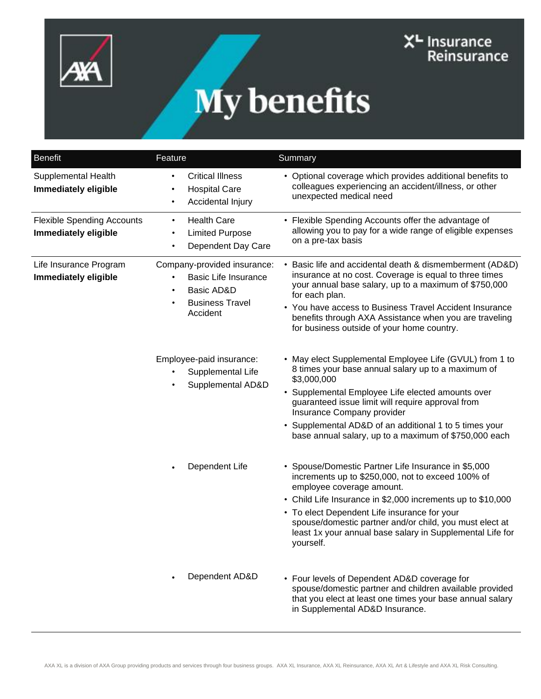



| <b>Benefit</b>                                            | Feature                                                                                                                     | Summary                                                                                                                                                                                                                                                                                                                                                                                   |
|-----------------------------------------------------------|-----------------------------------------------------------------------------------------------------------------------------|-------------------------------------------------------------------------------------------------------------------------------------------------------------------------------------------------------------------------------------------------------------------------------------------------------------------------------------------------------------------------------------------|
| Supplemental Health<br>Immediately eligible               | <b>Critical Illness</b><br><b>Hospital Care</b><br>Accidental Injury                                                        | • Optional coverage which provides additional benefits to<br>colleagues experiencing an accident/illness, or other<br>unexpected medical need                                                                                                                                                                                                                                             |
| <b>Flexible Spending Accounts</b><br>Immediately eligible | <b>Health Care</b><br>$\bullet$<br><b>Limited Purpose</b><br>Dependent Day Care                                             | • Flexible Spending Accounts offer the advantage of<br>allowing you to pay for a wide range of eligible expenses<br>on a pre-tax basis                                                                                                                                                                                                                                                    |
| Life Insurance Program<br>Immediately eligible            | Company-provided insurance:<br><b>Basic Life Insurance</b><br>Basic AD&D<br>$\bullet$<br><b>Business Travel</b><br>Accident | • Basic life and accidental death & dismemberment (AD&D)<br>insurance at no cost. Coverage is equal to three times<br>your annual base salary, up to a maximum of \$750,000<br>for each plan.<br>• You have access to Business Travel Accident Insurance<br>benefits through AXA Assistance when you are traveling<br>for business outside of your home country.                          |
|                                                           | Employee-paid insurance:<br>Supplemental Life<br>Supplemental AD&D                                                          | • May elect Supplemental Employee Life (GVUL) from 1 to<br>8 times your base annual salary up to a maximum of<br>\$3,000,000<br>• Supplemental Employee Life elected amounts over<br>guaranteed issue limit will require approval from<br>Insurance Company provider<br>• Supplemental AD&D of an additional 1 to 5 times your<br>base annual salary, up to a maximum of \$750,000 each   |
|                                                           | Dependent Life                                                                                                              | • Spouse/Domestic Partner Life Insurance in \$5,000<br>increments up to \$250,000, not to exceed 100% of<br>employee coverage amount.<br>• Child Life Insurance in \$2,000 increments up to \$10,000<br>• To elect Dependent Life insurance for your<br>spouse/domestic partner and/or child, you must elect at<br>least 1x your annual base salary in Supplemental Life for<br>yourself. |
|                                                           | Dependent AD&D                                                                                                              | • Four levels of Dependent AD&D coverage for<br>spouse/domestic partner and children available provided<br>that you elect at least one times your base annual salary<br>in Supplemental AD&D Insurance.                                                                                                                                                                                   |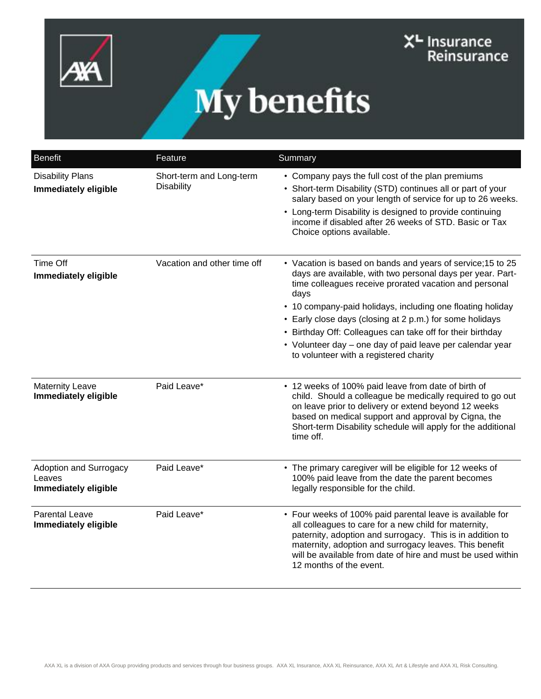



| <b>Benefit</b>                                           | Feature                                       | Summary                                                                                                                                                                                                                                                                                                                                                                                                                                                                                    |
|----------------------------------------------------------|-----------------------------------------------|--------------------------------------------------------------------------------------------------------------------------------------------------------------------------------------------------------------------------------------------------------------------------------------------------------------------------------------------------------------------------------------------------------------------------------------------------------------------------------------------|
| <b>Disability Plans</b><br><b>Immediately eligible</b>   | Short-term and Long-term<br><b>Disability</b> | • Company pays the full cost of the plan premiums<br>• Short-term Disability (STD) continues all or part of your<br>salary based on your length of service for up to 26 weeks.<br>• Long-term Disability is designed to provide continuing<br>income if disabled after 26 weeks of STD. Basic or Tax<br>Choice options available.                                                                                                                                                          |
| Time Off<br>Immediately eligible                         | Vacation and other time off                   | • Vacation is based on bands and years of service; 15 to 25<br>days are available, with two personal days per year. Part-<br>time colleagues receive prorated vacation and personal<br>days<br>• 10 company-paid holidays, including one floating holiday<br>• Early close days (closing at 2 p.m.) for some holidays<br>• Birthday Off: Colleagues can take off for their birthday<br>• Volunteer day - one day of paid leave per calendar year<br>to volunteer with a registered charity |
| <b>Maternity Leave</b><br>Immediately eligible           | Paid Leave*                                   | • 12 weeks of 100% paid leave from date of birth of<br>child. Should a colleague be medically required to go out<br>on leave prior to delivery or extend beyond 12 weeks<br>based on medical support and approval by Cigna, the<br>Short-term Disability schedule will apply for the additional<br>time off.                                                                                                                                                                               |
| Adoption and Surrogacy<br>Leaves<br>Immediately eligible | Paid Leave*                                   | • The primary caregiver will be eligible for 12 weeks of<br>100% paid leave from the date the parent becomes<br>legally responsible for the child.                                                                                                                                                                                                                                                                                                                                         |
| <b>Parental Leave</b><br>Immediately eligible            | Paid Leave*                                   | • Four weeks of 100% paid parental leave is available for<br>all colleagues to care for a new child for maternity,<br>paternity, adoption and surrogacy. This is in addition to<br>maternity, adoption and surrogacy leaves. This benefit<br>will be available from date of hire and must be used within<br>12 months of the event.                                                                                                                                                        |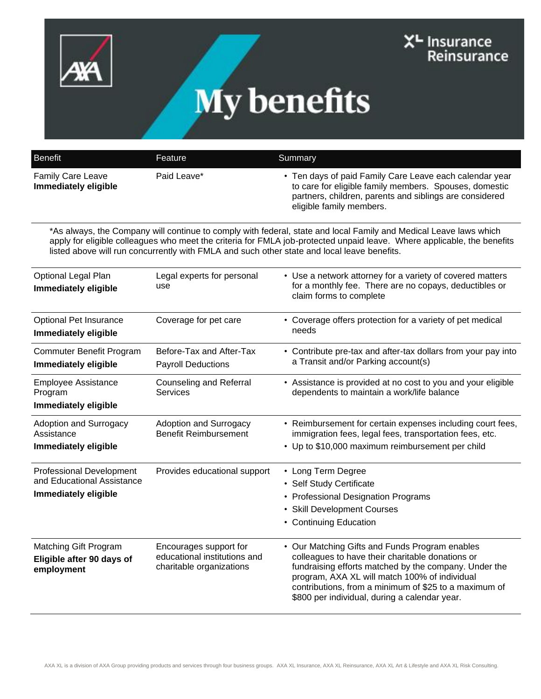



| <b>Benefit</b>                                                                               | Feature                                                                            | Summary                                                                                                                                                                                                                                                                                                                                     |
|----------------------------------------------------------------------------------------------|------------------------------------------------------------------------------------|---------------------------------------------------------------------------------------------------------------------------------------------------------------------------------------------------------------------------------------------------------------------------------------------------------------------------------------------|
| Family Care Leave<br>Immediately eligible                                                    | Paid Leave*                                                                        | • Ten days of paid Family Care Leave each calendar year<br>to care for eligible family members. Spouses, domestic<br>partners, children, parents and siblings are considered<br>eligible family members.                                                                                                                                    |
|                                                                                              |                                                                                    | *As always, the Company will continue to comply with federal, state and local Family and Medical Leave laws which<br>apply for eligible colleagues who meet the criteria for FMLA job-protected unpaid leave. Where applicable, the benefits<br>listed above will run concurrently with FMLA and such other state and local leave benefits. |
| Optional Legal Plan<br>Immediately eligible                                                  | Legal experts for personal<br>use                                                  | • Use a network attorney for a variety of covered matters<br>for a monthly fee. There are no copays, deductibles or<br>claim forms to complete                                                                                                                                                                                              |
| Optional Pet Insurance<br>Immediately eligible                                               | Coverage for pet care                                                              | • Coverage offers protection for a variety of pet medical<br>needs                                                                                                                                                                                                                                                                          |
| Commuter Benefit Program<br>Immediately eligible                                             | Before-Tax and After-Tax<br><b>Payroll Deductions</b>                              | • Contribute pre-tax and after-tax dollars from your pay into<br>a Transit and/or Parking account(s)                                                                                                                                                                                                                                        |
| <b>Employee Assistance</b><br>Program<br>Immediately eligible                                | <b>Counseling and Referral</b><br><b>Services</b>                                  | • Assistance is provided at no cost to you and your eligible<br>dependents to maintain a work/life balance                                                                                                                                                                                                                                  |
| <b>Adoption and Surrogacy</b><br>Assistance<br>Immediately eligible                          | Adoption and Surrogacy<br><b>Benefit Reimbursement</b>                             | • Reimbursement for certain expenses including court fees,<br>immigration fees, legal fees, transportation fees, etc.<br>• Up to \$10,000 maximum reimbursement per child                                                                                                                                                                   |
| <b>Professional Development</b><br>and Educational Assistance<br><b>Immediately eligible</b> | Provides educational support                                                       | • Long Term Degree<br>• Self Study Certificate<br>• Professional Designation Programs<br>• Skill Development Courses<br>• Continuing Education                                                                                                                                                                                              |
| Matching Gift Program<br>Eligible after 90 days of<br>employment                             | Encourages support for<br>educational institutions and<br>charitable organizations | • Our Matching Gifts and Funds Program enables<br>colleagues to have their charitable donations or<br>fundraising efforts matched by the company. Under the<br>program, AXA XL will match 100% of individual<br>contributions, from a minimum of \$25 to a maximum of<br>\$800 per individual, during a calendar year.                      |